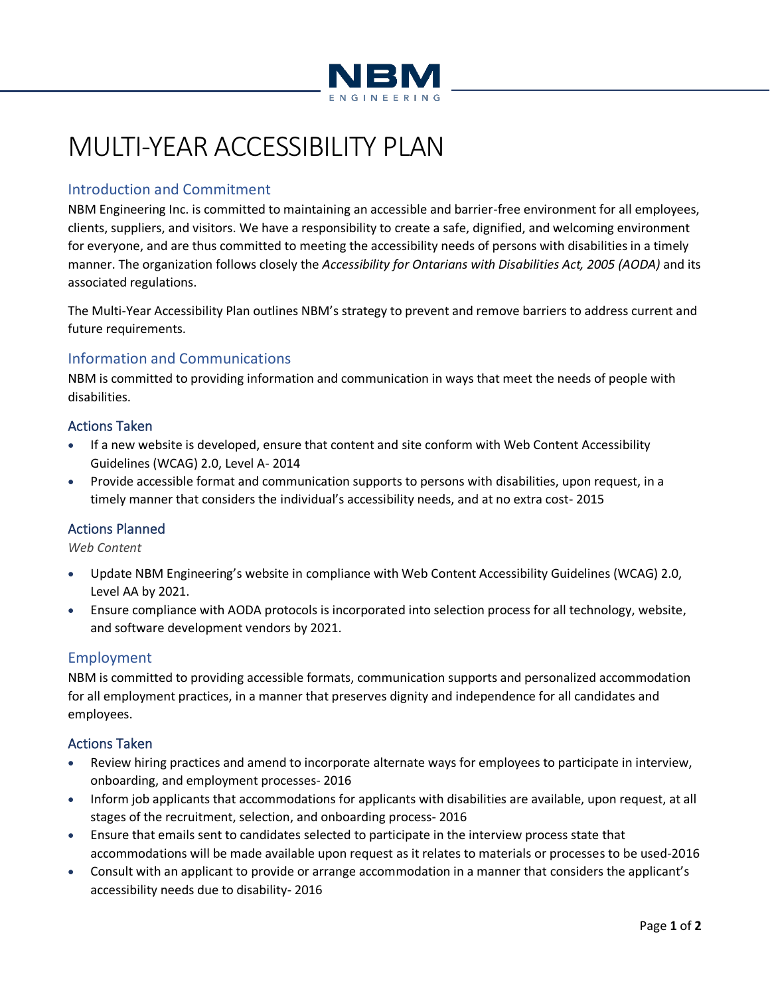

# MULTI-YEAR ACCESSIBILITY PLAN

# Introduction and Commitment

NBM Engineering Inc. is committed to maintaining an accessible and barrier-free environment for all employees, clients, suppliers, and visitors. We have a responsibility to create a safe, dignified, and welcoming environment for everyone, and are thus committed to meeting the accessibility needs of persons with disabilities in a timely manner. The organization follows closely the *Accessibility for Ontarians with Disabilities Act, 2005 (AODA)* and its associated regulations.

The Multi-Year Accessibility Plan outlines NBM's strategy to prevent and remove barriers to address current and future requirements.

# Information and Communications

NBM is committed to providing information and communication in ways that meet the needs of people with disabilities.

# Actions Taken

- If a new website is developed, ensure that content and site conform with Web Content Accessibility Guidelines (WCAG) 2.0, Level A- 2014
- Provide accessible format and communication supports to persons with disabilities, upon request, in a timely manner that considers the individual's accessibility needs, and at no extra cost- 2015

# Actions Planned

*Web Content*

- Update NBM Engineering's website in compliance with Web Content Accessibility Guidelines (WCAG) 2.0, Level AA by 2021.
- Ensure compliance with AODA protocols is incorporated into selection process for all technology, website, and software development vendors by 2021.

# Employment

NBM is committed to providing accessible formats, communication supports and personalized accommodation for all employment practices, in a manner that preserves dignity and independence for all candidates and employees.

# Actions Taken

- Review hiring practices and amend to incorporate alternate ways for employees to participate in interview, onboarding, and employment processes- 2016
- Inform job applicants that accommodations for applicants with disabilities are available, upon request, at all stages of the recruitment, selection, and onboarding process- 2016
- Ensure that emails sent to candidates selected to participate in the interview process state that accommodations will be made available upon request as it relates to materials or processes to be used-2016
- Consult with an applicant to provide or arrange accommodation in a manner that considers the applicant's accessibility needs due to disability- 2016